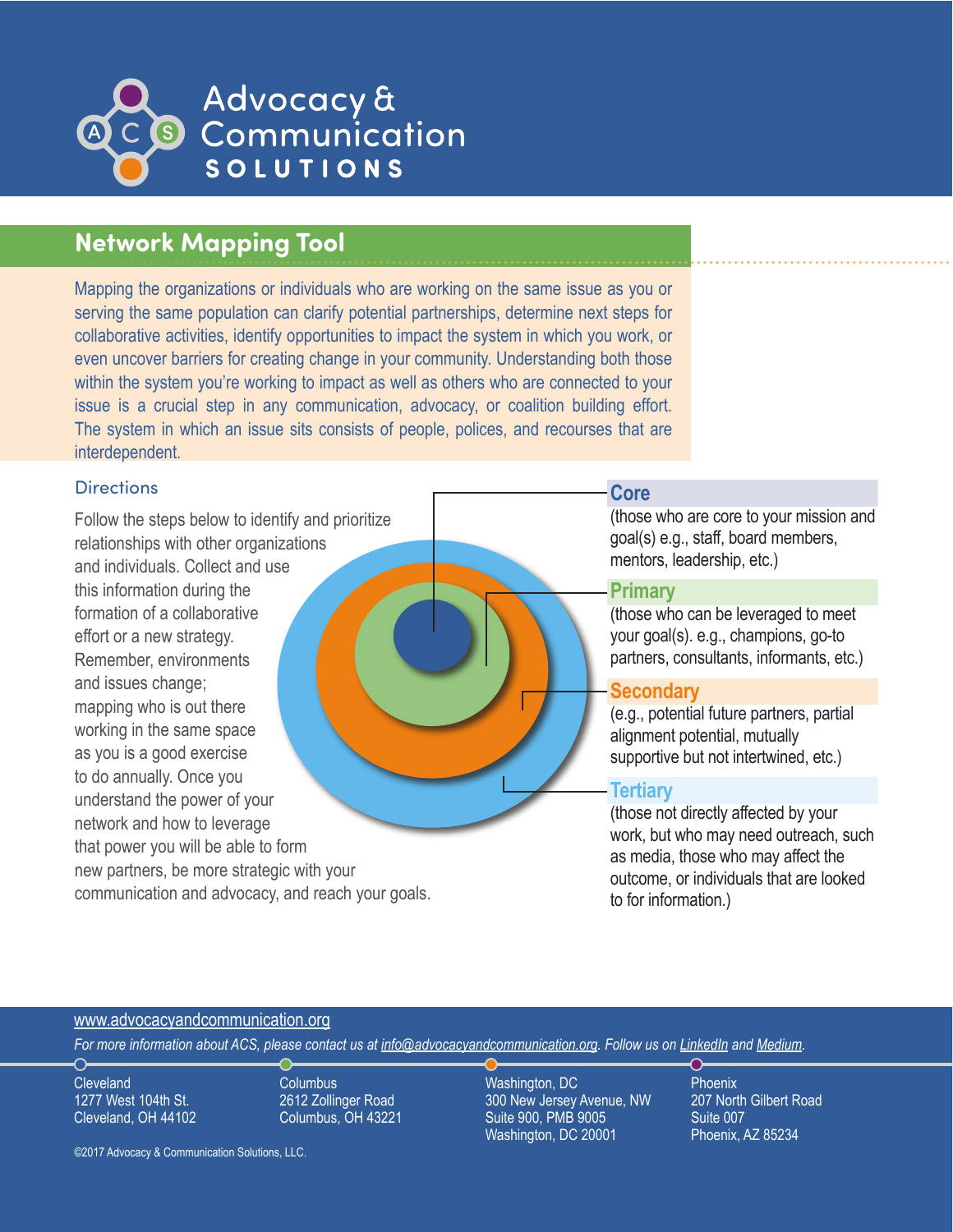

# **Network Mapping Tool**

Mapping the organizations or individuals who are working on the same issue as you or serving the same population can clarify potential partnerships, determine next steps for collaborative activities, identify opportunities to impact the system in which you work, or even uncover barriers for creating change in your community. Understanding both those within the system you're working to impact as well as others who are connected to your issue is a crucial step in any communication, advocacy, or coalition building effort. The system in which an issue sits consists of people, polices, and recourses that are interdependent.

### **Directions**

Follow the steps below to identify and prioritize relationships with other organizations and individuals. Collect and use this information during the formation of a collaborative effort or a new strategy. Remember, environments and issues change; mapping who is out there working in the same space as you is a good exercise to do annually. Once you understand the power of your network and how to leverage that power you will be able to form new partners, be more strategic with your communication and advocacy, and reach your goals.

### **Core**

(those who are core to your mission and goal(s) e.g., staff, board members, mentors, leadership, etc.)

# **Primary**

(those who can be leveraged to meet your goal(s). e.g., champions, go-to partners, consultants, informants, etc.)

# **Secondary**

(e.g., potential future partners, partial alignment potential, mutually supportive but not intertwined, etc.)

# **Tertiary**

(those not directly affected by your work, but who may need outreach, such as media, those who may affect the outcome, or individuals that are looked to for information.)

## www[.advocacyandcommunication.org](http://www.advocacyandcommunication.org/)

*For more information about ACS, please contact us at [info@advocacyandcommunication.org](mailto:info%40advocacyandcommunication.org?subject=). Follow us on [LinkedIn](https://www.linkedin.com/company/advocacy-&-communication-solutions-llc) and [Medium](https://medium.com/@acsllc).* 

**Cleveland** 1277 West 104th St. Cleveland, OH 44102 **Columbus** 2612 Zollinger Road Columbus, OH 43221

©2017 Advocacy & Communication Solutions, LLC.

Washington, DC 300 New Jersey Avenue, NW Suite 900, PMB 9005 Washington, DC 20001

**Phoenix** 207 North Gilbert Road Suite 007 Phoenix, AZ 85234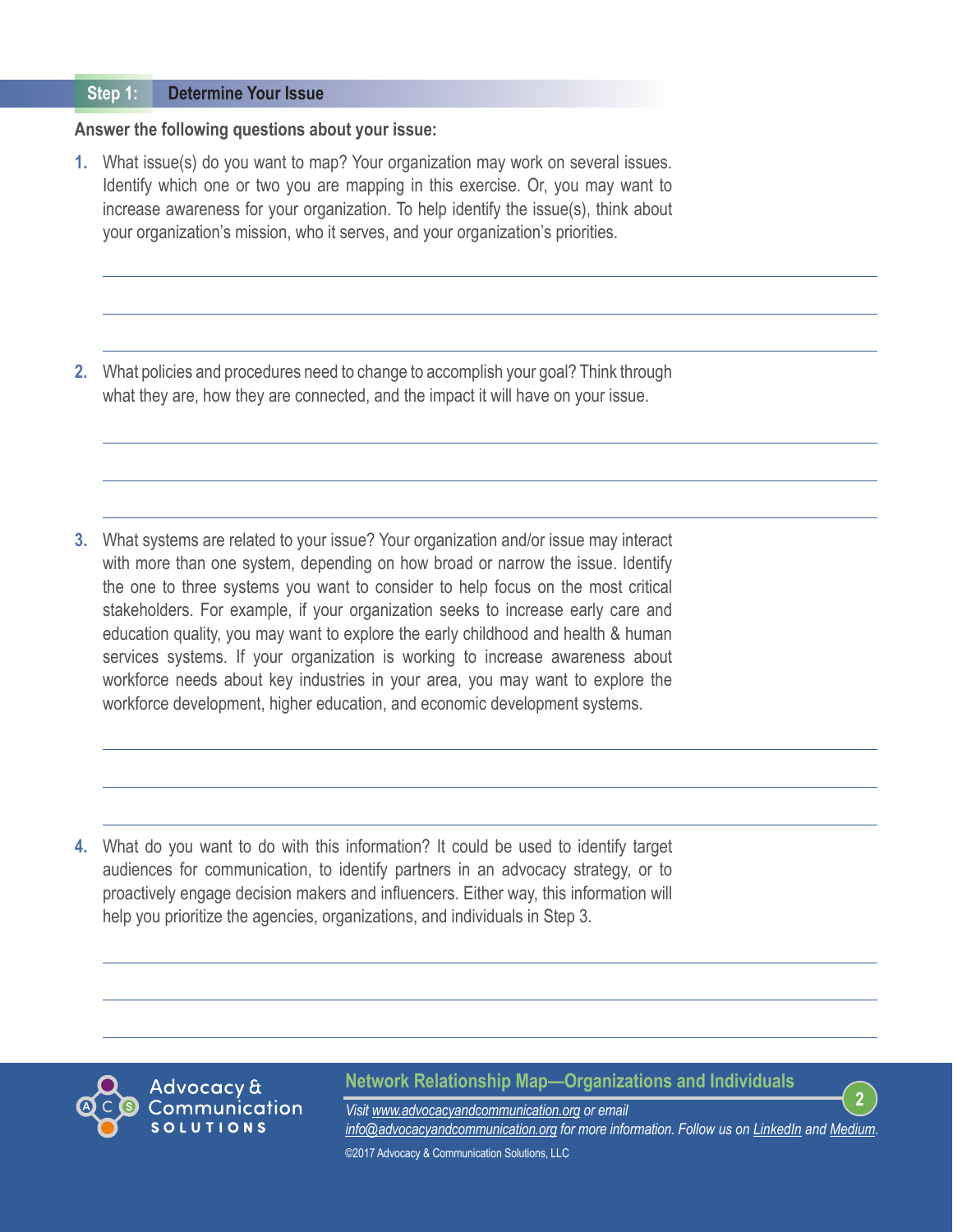#### **Determine Your Issue Step 1:**

### **Answer the following questions about your issue:**

**1.** What issue(s) do you want to map? Your organization may work on several issues. Identify which one or two you are mapping in this exercise. Or, you may want to increase awareness for your organization. To help identify the issue(s), think about your organization's mission, who it serves, and your organization's priorities.

**2.** What policies and procedures need to change to accomplish your goal? Think through what they are, how they are connected, and the impact it will have on your issue.

**3.** What systems are related to your issue? Your organization and/or issue may interact with more than one system, depending on how broad or narrow the issue. Identify the one to three systems you want to consider to help focus on the most critical stakeholders. For example, if your organization seeks to increase early care and education quality, you may want to explore the early childhood and health & human services systems. If your organization is working to increase awareness about workforce needs about key industries in your area, you may want to explore the workforce development, higher education, and economic development systems.

**4.** What do you want to do with this information? It could be used to identify target audiences for communication, to identify partners in an advocacy strategy, or to proactively engage decision makers and influencers. Either way, this information will help you prioritize the agencies, organizations, and individuals in Step 3.



### **Network Relationship Map—Organizations and Individuals**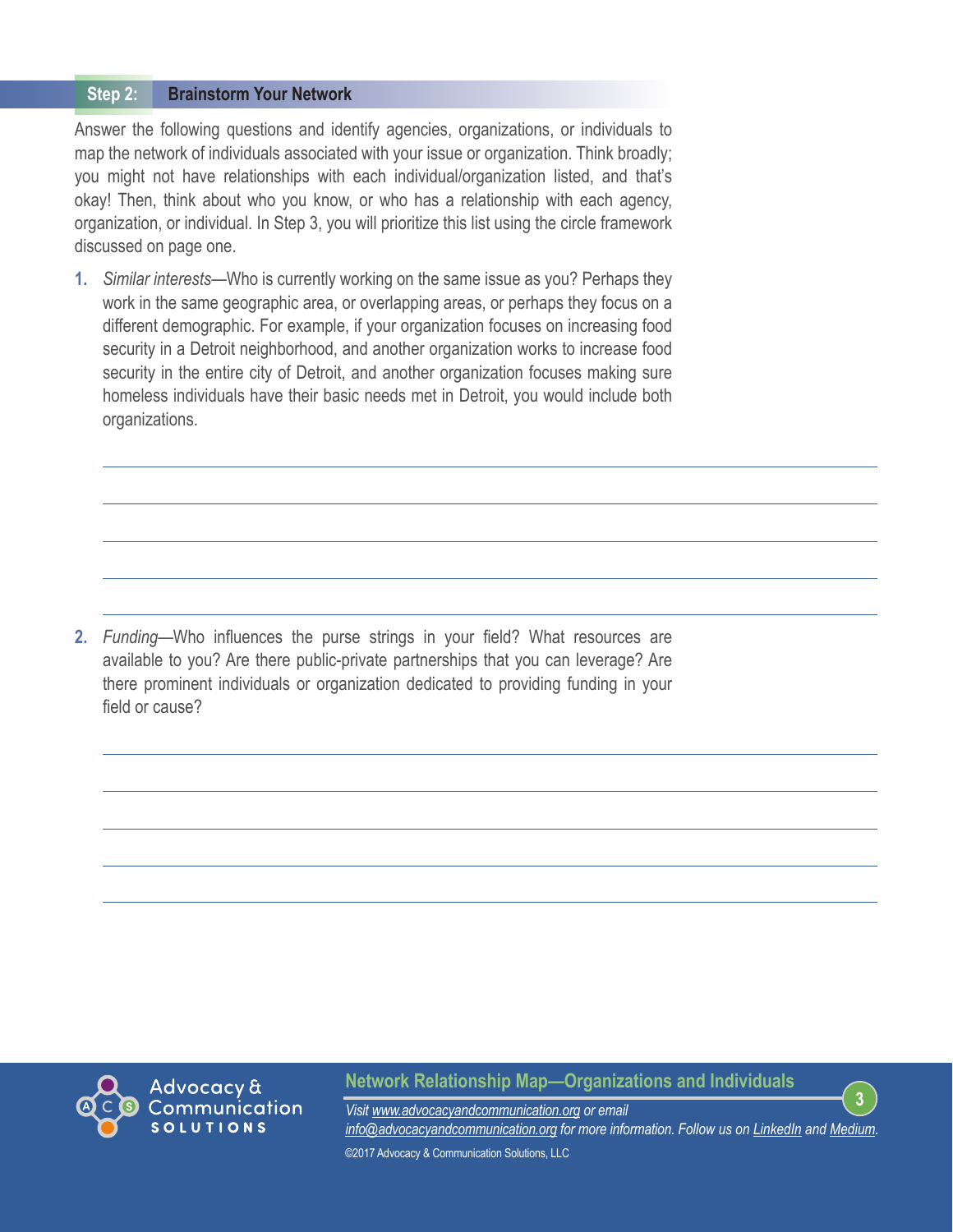#### **Brainstorm Your Network Step 2:**

Answer the following questions and identify agencies, organizations, or individuals to map the network of individuals associated with your issue or organization. Think broadly; you might not have relationships with each individual/organization listed, and that's okay! Then, think about who you know, or who has a relationship with each agency, organization, or individual. In Step 3, you will prioritize this list using the circle framework discussed on page one.

**1.** *Similar interests*—Who is currently working on the same issue as you? Perhaps they work in the same geographic area, or overlapping areas, or perhaps they focus on a different demographic. For example, if your organization focuses on increasing food security in a Detroit neighborhood, and another organization works to increase food security in the entire city of Detroit, and another organization focuses making sure homeless individuals have their basic needs met in Detroit, you would include both organizations.

**2.** *Funding*—Who influences the purse strings in your field? What resources are available to you? Are there public-private partnerships that you can leverage? Are there prominent individuals or organization dedicated to providing funding in your field or cause?



**Network Relationship Map—Organizations and Individuals**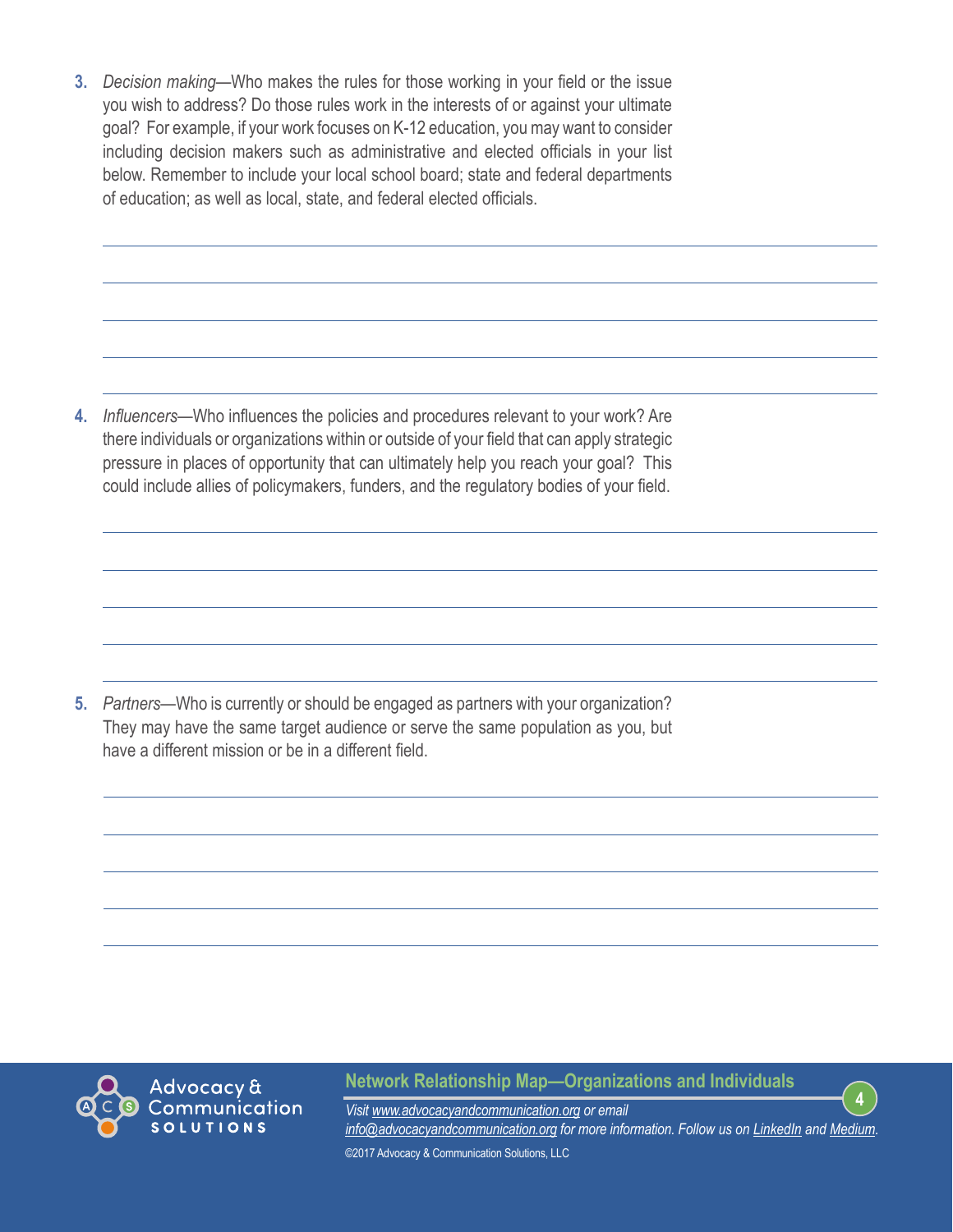**3.** *Decision making*—Who makes the rules for those working in your field or the issue you wish to address? Do those rules work in the interests of or against your ultimate goal? For example, if your work focuses on K-12 education, you may want to consider including decision makers such as administrative and elected officials in your list below. Remember to include your local school board; state and federal departments of education; as well as local, state, and federal elected officials.

**4.** *Influencers*—Who influences the policies and procedures relevant to your work? Are there individuals or organizations within or outside of your field that can apply strategic pressure in places of opportunity that can ultimately help you reach your goal? This could include allies of policymakers, funders, and the regulatory bodies of your field.

**5.** *Partners*—Who is currently or should be engaged as partners with your organization? They may have the same target audience or serve the same population as you, but have a different mission or be in a different field.



**Network Relationship Map—Organizations and Individuals**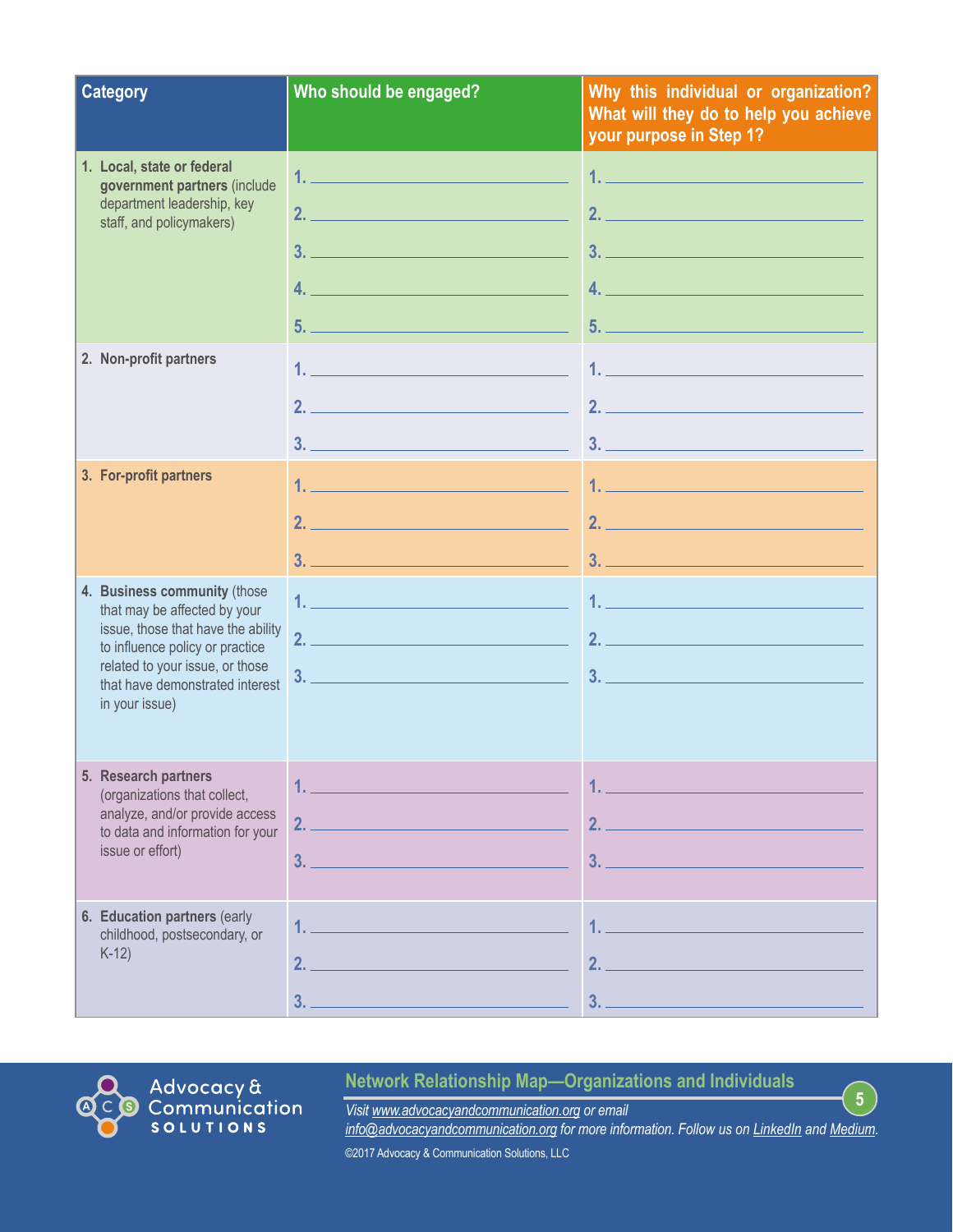| <b>Category</b>                                                                                                                                                                                                               | Who should be engaged?                                                                                                                                                                                                                                                                                                                                                                                                                                                                                                                                       | Why this individual or organization?<br>What will they do to help you achieve<br>your purpose in Step 1? |
|-------------------------------------------------------------------------------------------------------------------------------------------------------------------------------------------------------------------------------|--------------------------------------------------------------------------------------------------------------------------------------------------------------------------------------------------------------------------------------------------------------------------------------------------------------------------------------------------------------------------------------------------------------------------------------------------------------------------------------------------------------------------------------------------------------|----------------------------------------------------------------------------------------------------------|
| 1. Local, state or federal<br>government partners (include<br>department leadership, key<br>staff, and policymakers)                                                                                                          | 1. The contract of the contract of the contract of $\mathcal{L}_\mathcal{A}$<br>2.<br>$3.$ $\overline{\phantom{a}}$ $\overline{\phantom{a}}$ $\overline{\phantom{a}}$ $\overline{\phantom{a}}$ $\overline{\phantom{a}}$ $\overline{\phantom{a}}$ $\overline{\phantom{a}}$ $\overline{\phantom{a}}$ $\overline{\phantom{a}}$ $\overline{\phantom{a}}$ $\overline{\phantom{a}}$ $\overline{\phantom{a}}$ $\overline{\phantom{a}}$ $\overline{\phantom{a}}$ $\overline{\phantom{a}}$ $\overline{\phantom{a}}$ $\overline{\phantom{a}}$ $\overline{\phantom{a}}$ | 1. <u>Alexander State Communication</u><br>2.<br>$\overline{4}$ .                                        |
| 2. Non-profit partners                                                                                                                                                                                                        | 2.                                                                                                                                                                                                                                                                                                                                                                                                                                                                                                                                                           |                                                                                                          |
| 3. For-profit partners                                                                                                                                                                                                        | $\overline{\mathbf{3.}}$ . The contract of the contract of $\overline{\mathbf{3.}}$ . The contract of $\overline{\mathbf{3.}}$                                                                                                                                                                                                                                                                                                                                                                                                                               |                                                                                                          |
| 4. Business community (those<br>that may be affected by your<br>issue, those that have the ability<br>to influence policy or practice<br>related to your issue, or those<br>that have demonstrated interest<br>in your issue) |                                                                                                                                                                                                                                                                                                                                                                                                                                                                                                                                                              |                                                                                                          |
| 5. Research partners<br>(organizations that collect,<br>analyze, and/or provide access<br>to data and information for your<br>issue or effort)                                                                                | 2.<br>3.                                                                                                                                                                                                                                                                                                                                                                                                                                                                                                                                                     | 2.<br>3.                                                                                                 |
| 6. Education partners (early<br>childhood, postsecondary, or<br>$K-12$                                                                                                                                                        | 2.<br>3.                                                                                                                                                                                                                                                                                                                                                                                                                                                                                                                                                     | 2.<br>3.                                                                                                 |



# **Network Relationship Map—Organizations and Individuals**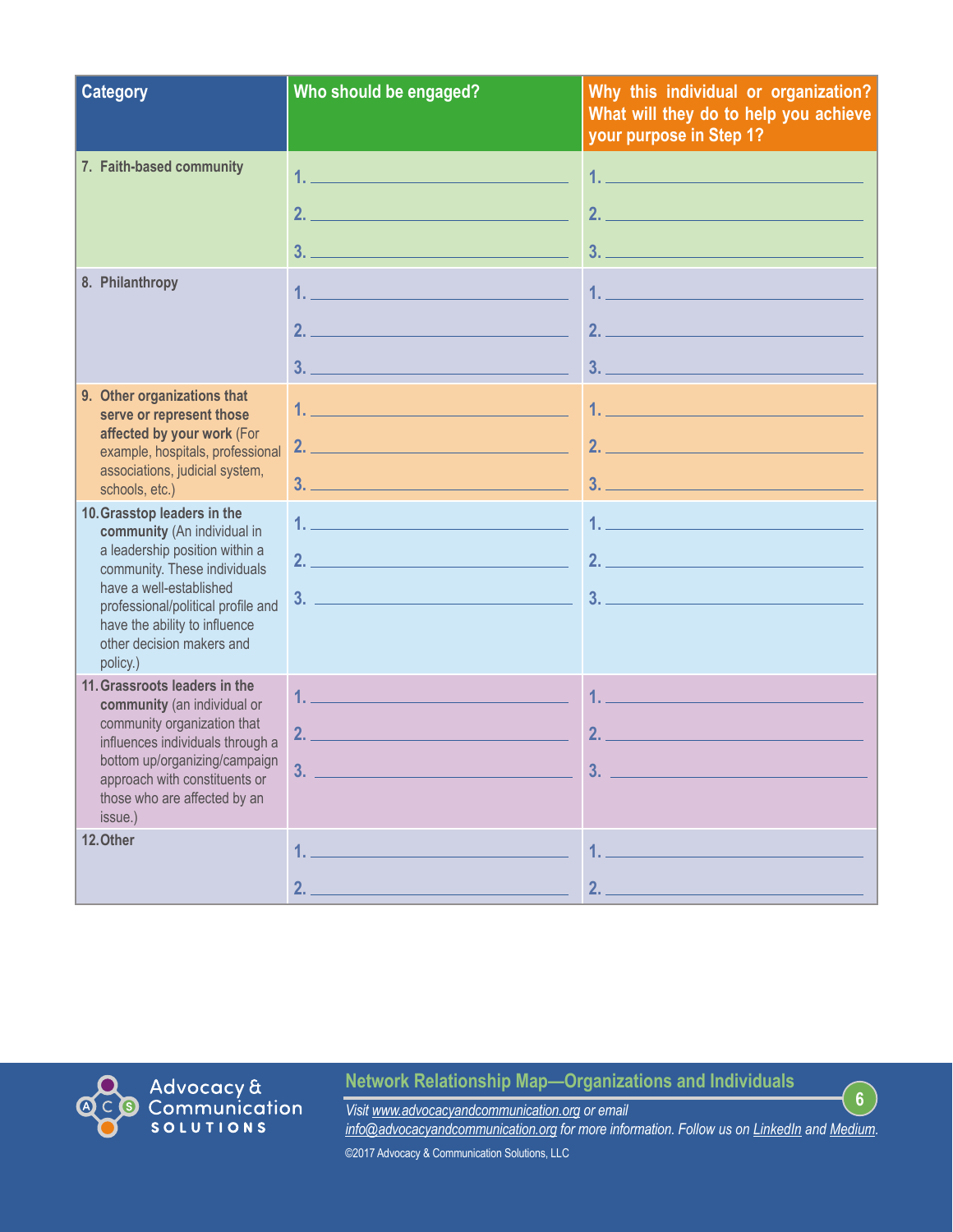| <b>Category</b>                                                                                                                                                                                                                                                         | Who should be engaged?                                                                                                                                                                                                                                                                                                                                                                                                                                                                                                                                                                                                                                                                                                                                                                                                                                                                                                                                                                                    | Why this individual or organization?<br>What will they do to help you achieve<br>your purpose in Step 1?                                                                                                                             |
|-------------------------------------------------------------------------------------------------------------------------------------------------------------------------------------------------------------------------------------------------------------------------|-----------------------------------------------------------------------------------------------------------------------------------------------------------------------------------------------------------------------------------------------------------------------------------------------------------------------------------------------------------------------------------------------------------------------------------------------------------------------------------------------------------------------------------------------------------------------------------------------------------------------------------------------------------------------------------------------------------------------------------------------------------------------------------------------------------------------------------------------------------------------------------------------------------------------------------------------------------------------------------------------------------|--------------------------------------------------------------------------------------------------------------------------------------------------------------------------------------------------------------------------------------|
| 7. Faith-based community                                                                                                                                                                                                                                                | $2.$ $\overline{\phantom{a}}$<br>$3.$ $\overline{\phantom{a}}$ $\overline{\phantom{a}}$ $\overline{\phantom{a}}$ $\overline{\phantom{a}}$ $\overline{\phantom{a}}$ $\overline{\phantom{a}}$ $\overline{\phantom{a}}$ $\overline{\phantom{a}}$ $\overline{\phantom{a}}$ $\overline{\phantom{a}}$ $\overline{\phantom{a}}$ $\overline{\phantom{a}}$ $\overline{\phantom{a}}$ $\overline{\phantom{a}}$ $\overline{\phantom{a}}$ $\overline{\phantom{a}}$ $\overline{\phantom{a}}$ $\overline{\phantom{a}}$                                                                                                                                                                                                                                                                                                                                                                                                                                                                                                   | <u>1. – Johann Johann Johann Johann Johann Johann Johann Johann Johann Johann Johann Johann Johann Johann Johann Johann Johann Johann Johann Johann Johann Johann Johann Johann Johann Johann Johann Johann Johann Johann Johann</u> |
| 8. Philanthropy                                                                                                                                                                                                                                                         | 2.                                                                                                                                                                                                                                                                                                                                                                                                                                                                                                                                                                                                                                                                                                                                                                                                                                                                                                                                                                                                        | 2.                                                                                                                                                                                                                                   |
| 9. Other organizations that<br>serve or represent those<br>affected by your work (For<br>example, hospitals, professional<br>associations, judicial system,<br>schools, etc.)                                                                                           | <u>1. – Johann Johann Johann Johann Johann Johann Johann Johann Johann Johann Johann Johann Johann Johann Johann Johann Johann Johann Johann Johann Johann Johann Johann Johann Johann Johann Johann Johann Johann Johann Johann</u>                                                                                                                                                                                                                                                                                                                                                                                                                                                                                                                                                                                                                                                                                                                                                                      |                                                                                                                                                                                                                                      |
| 10. Grasstop leaders in the<br>community (An individual in<br>a leadership position within a<br>community. These individuals<br>have a well-established<br>professional/political profile and<br>have the ability to influence<br>other decision makers and<br>policy.) | $1.$ $\overline{\phantom{a}}$ . The contract of the contract of $\overline{\phantom{a}}$ , $\overline{\phantom{a}}$ , $\overline{\phantom{a}}$ , $\overline{\phantom{a}}$ , $\overline{\phantom{a}}$ , $\overline{\phantom{a}}$ , $\overline{\phantom{a}}$ , $\overline{\phantom{a}}$ , $\overline{\phantom{a}}$ , $\overline{\phantom{a}}$ , $\overline{\phantom{a}}$ , $\overline{\phantom{a}}$ , $\$<br>$2.$ $\overline{\phantom{a}}$ $\overline{\phantom{a}}$ $\overline{\phantom{a}}$ $\overline{\phantom{a}}$ $\overline{\phantom{a}}$ $\overline{\phantom{a}}$ $\overline{\phantom{a}}$ $\overline{\phantom{a}}$ $\overline{\phantom{a}}$ $\overline{\phantom{a}}$ $\overline{\phantom{a}}$ $\overline{\phantom{a}}$ $\overline{\phantom{a}}$ $\overline{\phantom{a}}$ $\overline{\phantom{a}}$ $\overline{\phantom{a}}$ $\overline{\phantom{a}}$ $\overline{\phantom{a}}$<br><u> 3.  — Вилианский примечений (за продолжений союз в этим союз в этим союз в этим союз в этим союз в этим союз</u> | <u>1. ________________________</u>                                                                                                                                                                                                   |
| 11. Grassroots leaders in the<br>community (an individual or<br>community organization that<br>influences individuals through a<br>bottom up/organizing/campaign<br>approach with constituents or<br>those who are affected by an<br>issue.)                            |                                                                                                                                                                                                                                                                                                                                                                                                                                                                                                                                                                                                                                                                                                                                                                                                                                                                                                                                                                                                           | 2.                                                                                                                                                                                                                                   |
| 12. Other                                                                                                                                                                                                                                                               | 2.                                                                                                                                                                                                                                                                                                                                                                                                                                                                                                                                                                                                                                                                                                                                                                                                                                                                                                                                                                                                        | 2.                                                                                                                                                                                                                                   |

**Network Relationship Map—Organizations and Individuals**

Advocacy &<br>Communication<br>solutions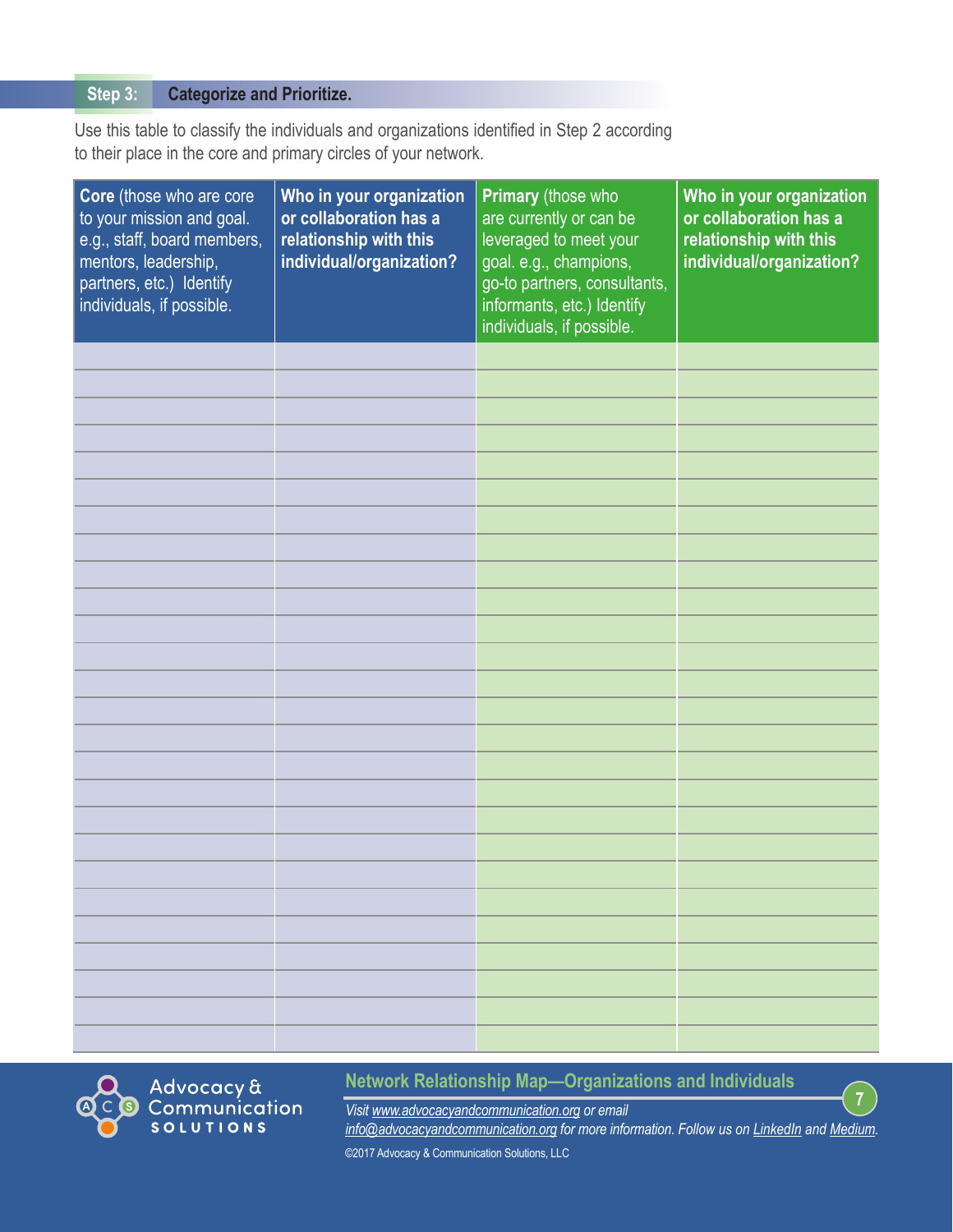#### **Categorize and Prioritize. Step 3:**

Use this table to classify the individuals and organizations identified in Step 2 according to their place in the core and primary circles of your network.

| Core (those who are core<br>to your mission and goal.<br>e.g., staff, board members,<br>mentors, leadership,<br>partners, etc.) Identify<br>individuals, if possible. | Who in your organization<br>or collaboration has a<br>relationship with this<br>individual/organization? | Primary (those who<br>are currently or can be<br>leveraged to meet your<br>goal. e.g., champions,<br>go-to partners, consultants,<br>informants, etc.) Identify<br>individuals, if possible. | Who in your organization<br>or collaboration has a<br>relationship with this<br>individual/organization? |
|-----------------------------------------------------------------------------------------------------------------------------------------------------------------------|----------------------------------------------------------------------------------------------------------|----------------------------------------------------------------------------------------------------------------------------------------------------------------------------------------------|----------------------------------------------------------------------------------------------------------|
|                                                                                                                                                                       |                                                                                                          |                                                                                                                                                                                              |                                                                                                          |
|                                                                                                                                                                       |                                                                                                          |                                                                                                                                                                                              |                                                                                                          |
|                                                                                                                                                                       |                                                                                                          |                                                                                                                                                                                              |                                                                                                          |
|                                                                                                                                                                       |                                                                                                          |                                                                                                                                                                                              |                                                                                                          |
|                                                                                                                                                                       |                                                                                                          |                                                                                                                                                                                              |                                                                                                          |
|                                                                                                                                                                       |                                                                                                          |                                                                                                                                                                                              |                                                                                                          |
|                                                                                                                                                                       |                                                                                                          |                                                                                                                                                                                              |                                                                                                          |
|                                                                                                                                                                       |                                                                                                          |                                                                                                                                                                                              |                                                                                                          |
|                                                                                                                                                                       |                                                                                                          |                                                                                                                                                                                              |                                                                                                          |
|                                                                                                                                                                       |                                                                                                          |                                                                                                                                                                                              |                                                                                                          |
|                                                                                                                                                                       |                                                                                                          |                                                                                                                                                                                              |                                                                                                          |
|                                                                                                                                                                       |                                                                                                          |                                                                                                                                                                                              |                                                                                                          |
|                                                                                                                                                                       |                                                                                                          |                                                                                                                                                                                              |                                                                                                          |
|                                                                                                                                                                       |                                                                                                          |                                                                                                                                                                                              |                                                                                                          |
|                                                                                                                                                                       |                                                                                                          |                                                                                                                                                                                              |                                                                                                          |
|                                                                                                                                                                       |                                                                                                          |                                                                                                                                                                                              |                                                                                                          |
|                                                                                                                                                                       |                                                                                                          |                                                                                                                                                                                              |                                                                                                          |
|                                                                                                                                                                       |                                                                                                          |                                                                                                                                                                                              |                                                                                                          |
|                                                                                                                                                                       |                                                                                                          |                                                                                                                                                                                              |                                                                                                          |
|                                                                                                                                                                       |                                                                                                          |                                                                                                                                                                                              |                                                                                                          |
|                                                                                                                                                                       |                                                                                                          |                                                                                                                                                                                              |                                                                                                          |
|                                                                                                                                                                       |                                                                                                          |                                                                                                                                                                                              |                                                                                                          |
|                                                                                                                                                                       |                                                                                                          |                                                                                                                                                                                              |                                                                                                          |
|                                                                                                                                                                       |                                                                                                          |                                                                                                                                                                                              |                                                                                                          |
|                                                                                                                                                                       |                                                                                                          |                                                                                                                                                                                              |                                                                                                          |
|                                                                                                                                                                       |                                                                                                          |                                                                                                                                                                                              |                                                                                                          |



# **Network Relationship Map—Organizations and Individuals**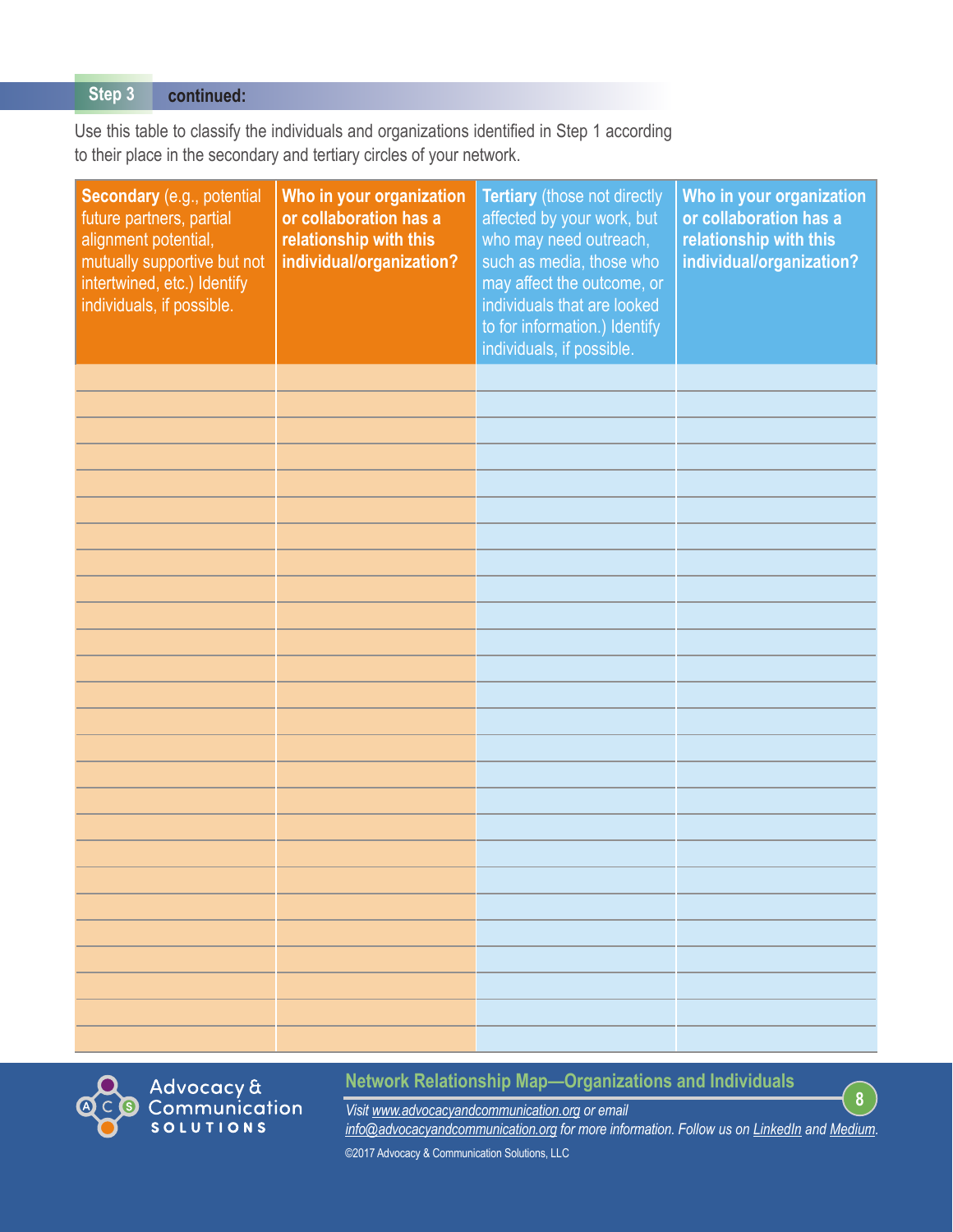#### **continued: Step 3**

Use this table to classify the individuals and organizations identified in Step 1 according to their place in the secondary and tertiary circles of your network.

| Secondary (e.g., potential<br>future partners, partial<br>alignment potential,<br>mutually supportive but not<br>intertwined, etc.) Identify<br>individuals, if possible. | Who in your organization<br>or collaboration has a<br>relationship with this<br>individual/organization? | Tertiary (those not directly<br>affected by your work, but<br>who may need outreach,<br>such as media, those who<br>may affect the outcome, or<br>individuals that are looked<br>to for information.) Identify<br>individuals, if possible. | Who in your organization<br>or collaboration has a<br>relationship with this<br>individual/organization? |
|---------------------------------------------------------------------------------------------------------------------------------------------------------------------------|----------------------------------------------------------------------------------------------------------|---------------------------------------------------------------------------------------------------------------------------------------------------------------------------------------------------------------------------------------------|----------------------------------------------------------------------------------------------------------|
|                                                                                                                                                                           |                                                                                                          |                                                                                                                                                                                                                                             |                                                                                                          |
|                                                                                                                                                                           |                                                                                                          |                                                                                                                                                                                                                                             |                                                                                                          |
|                                                                                                                                                                           |                                                                                                          |                                                                                                                                                                                                                                             |                                                                                                          |
|                                                                                                                                                                           |                                                                                                          |                                                                                                                                                                                                                                             |                                                                                                          |
|                                                                                                                                                                           |                                                                                                          |                                                                                                                                                                                                                                             |                                                                                                          |
|                                                                                                                                                                           |                                                                                                          |                                                                                                                                                                                                                                             |                                                                                                          |
|                                                                                                                                                                           |                                                                                                          |                                                                                                                                                                                                                                             |                                                                                                          |
|                                                                                                                                                                           |                                                                                                          |                                                                                                                                                                                                                                             |                                                                                                          |
|                                                                                                                                                                           |                                                                                                          |                                                                                                                                                                                                                                             |                                                                                                          |
|                                                                                                                                                                           |                                                                                                          |                                                                                                                                                                                                                                             |                                                                                                          |
|                                                                                                                                                                           |                                                                                                          |                                                                                                                                                                                                                                             |                                                                                                          |
|                                                                                                                                                                           |                                                                                                          |                                                                                                                                                                                                                                             |                                                                                                          |
|                                                                                                                                                                           |                                                                                                          |                                                                                                                                                                                                                                             |                                                                                                          |
|                                                                                                                                                                           |                                                                                                          |                                                                                                                                                                                                                                             |                                                                                                          |
|                                                                                                                                                                           |                                                                                                          |                                                                                                                                                                                                                                             |                                                                                                          |
|                                                                                                                                                                           |                                                                                                          |                                                                                                                                                                                                                                             |                                                                                                          |
|                                                                                                                                                                           |                                                                                                          |                                                                                                                                                                                                                                             |                                                                                                          |
|                                                                                                                                                                           |                                                                                                          |                                                                                                                                                                                                                                             |                                                                                                          |
|                                                                                                                                                                           |                                                                                                          |                                                                                                                                                                                                                                             |                                                                                                          |
|                                                                                                                                                                           |                                                                                                          |                                                                                                                                                                                                                                             |                                                                                                          |
|                                                                                                                                                                           |                                                                                                          |                                                                                                                                                                                                                                             |                                                                                                          |
|                                                                                                                                                                           |                                                                                                          |                                                                                                                                                                                                                                             |                                                                                                          |
|                                                                                                                                                                           |                                                                                                          |                                                                                                                                                                                                                                             |                                                                                                          |
|                                                                                                                                                                           |                                                                                                          |                                                                                                                                                                                                                                             |                                                                                                          |
|                                                                                                                                                                           |                                                                                                          |                                                                                                                                                                                                                                             |                                                                                                          |
|                                                                                                                                                                           |                                                                                                          |                                                                                                                                                                                                                                             |                                                                                                          |



# **Network Relationship Map—Organizations and Individuals**